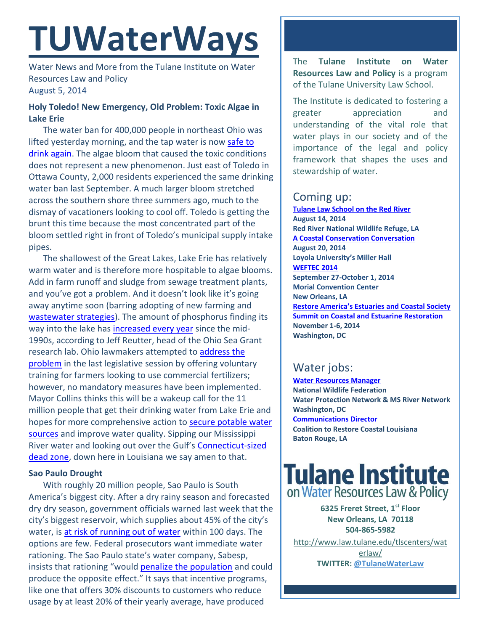# **TUWaterWays**

Water News and More from the Tulane Institute on Water Resources Law and Policy August 5, 2014

#### **Holy Toledo! New Emergency, Old Problem: Toxic Algae in Lake Erie**

The water ban for 400,000 people in northeast Ohio was lifted yesterday morning, and the tap water is now [safe to](http://www.nytimes.com/2014/08/05/us/lifting-ban-toledo-says-its-water-is-safe-to-drink-again.html?_r=0)  [drink again.](http://www.nytimes.com/2014/08/05/us/lifting-ban-toledo-says-its-water-is-safe-to-drink-again.html?_r=0) The algae bloom that caused the toxic conditions does not represent a new phenomenon. Just east of Toledo in Ottawa County, 2,000 residents experienced the same drinking water ban last September. A much larger bloom stretched across the southern shore three summers ago, much to the dismay of vacationers looking to cool off. Toledo is getting the brunt this time because the most concentrated part of the bloom settled right in front of Toledo's municipal supply intake pipes.

The shallowest of the Great Lakes, Lake Erie has relatively warm water and is therefore more hospitable to algae blooms. Add in farm runoff and sludge from sewage treatment plants, and you've got a problem. And it doesn't look like it's going away anytime soon (barring adopting of new farming and [wastewater strategies\)](http://www.npr.org/blogs/thesalt/2014/07/31/336564120/should-we-return-the-nutrients-in-our-pee-back-to-the-farm?utm_source=facebook.com&utm_medium=social&utm_campaign=npr&utm_term=nprnews&utm_content=20140801). The amount of phosphorus finding its way into the lake ha[s increased every year](http://abcnews.go.com/Technology/wireStory/tests-needed-ohio-city-water-back-24824800?singlePage=true) since the mid-1990s, according to Jeff Reutter, head of the Ohio Sea Grant research lab. Ohio lawmakers attempted to [address the](http://www.dispatch.com/content/stories/local/2014/08/04/this-bloom-is-in-bad-location.html)  [problem](http://www.dispatch.com/content/stories/local/2014/08/04/this-bloom-is-in-bad-location.html) in the last legislative session by offering voluntary training for farmers looking to use commercial fertilizers; however, no mandatory measures have been implemented. Mayor Collins thinks this will be a wakeup call for the 11 million people that get their drinking water from Lake Erie and hopes for more comprehensive action to secure potable water [sources](http://www.wchstv.com/newsroom/eyewitness/140804_27007.shtml) and improve water quality. Sipping our Mississippi River water and looking out over the Gulf's [Connecticut-sized](http://www.nola.com/environment/index.ssf/2014/08/low_oxygen_dead_zone_covers_50.html#incart_m-rpt-2)  [dead zone,](http://www.nola.com/environment/index.ssf/2014/08/low_oxygen_dead_zone_covers_50.html#incart_m-rpt-2) down here in Louisiana we say amen to that.

#### **Sao Paulo Drought**

With roughly 20 million people, Sao Paulo is South America's biggest city. After a dry rainy season and forecasted dry dry season, government officials warned last week that the city's biggest reservoir, which supplies about 45% of the city's water, is [at risk of running out of water](http://www.bloomberg.com/news/2014-07-29/sao-paulo-told-to-ration-water-or-risk-running-out-in-100-days.html) within 100 days. The options are few. Federal prosecutors want immediate water rationing. The Sao Paulo state's water company, Sabesp, insists that rationing "would [penalize the population](http://online.wsj.com/articles/brazilian-agency-recommends-water-rationing-in-sao-paulo-state-1406651724) and could produce the opposite effect." It says that incentive programs, like one that offers 30% discounts to customers who reduce usage by at least 20% of their yearly average, have produced

The **Tulane Institute on Water Resources Law and Policy** is a program of the Tulane University Law School.

The Institute is dedicated to fostering a greater appreciation and understanding of the vital role that water plays in our society and of the importance of the legal and policy framework that shapes the uses and stewardship of water.

### Coming up:

**[Tulane Law School on the Red River](http://www.law.tulane.edu/uploadedFiles/Institutes_and_Centers/Water_Resources_Law_and_Policy/Content/Invite.pdf) August 14, 2014 Red River National Wildlife Refuge, LA [A Coastal Conservation Conversation](http://thelensnola.org/2014/07/23/youre-invited-join-us-to-talk-about-the-cost-of-restoring-our-coast-and-who-will-pay/) August 20, 2014 Loyola University's Miller Hall [WEFTEC 2014](http://www.weftec.org/registration/) September 27-October 1, 2014 Morial Convention Center New Orleans, LA [Restore America's Estuaries and Coastal Society](http://r20.rs6.net/tn.jsp?f=0012iufhQITsCGpmic7Nj0W1INi8-6h80uescyOvfS_bUMX-e_StguS58p5EHh6nRgEmQNhq-IEmHfNI66r1WLUI1nmVYTd3If6B4-ZKjflPH2cZPZ528UxKk004cWieAbuKn8kMmuGt7xkzSf_c1RUYplspmEGAxwxZCHUx7hzNHc=&c=3B5vsP5Gpxft541Pxo12cjeRrFLjmc8b5erclL2Atj1KAgmybibFyw==&ch=lOjBhN14duvjTvW9T_cXNaf8o7Y3dN3YSL3BBwkYtqxDV6sYZHStiA==)  [Summit on Coastal and Estuarine Restoration](http://r20.rs6.net/tn.jsp?f=0012iufhQITsCGpmic7Nj0W1INi8-6h80uescyOvfS_bUMX-e_StguS58p5EHh6nRgEmQNhq-IEmHfNI66r1WLUI1nmVYTd3If6B4-ZKjflPH2cZPZ528UxKk004cWieAbuKn8kMmuGt7xkzSf_c1RUYplspmEGAxwxZCHUx7hzNHc=&c=3B5vsP5Gpxft541Pxo12cjeRrFLjmc8b5erclL2Atj1KAgmybibFyw==&ch=lOjBhN14duvjTvW9T_cXNaf8o7Y3dN3YSL3BBwkYtqxDV6sYZHStiA==) November 1-6, 2014 Washington, DC**

## Water jobs:

**[Water Resources Manager](http://www.nwf.org/How-to-Help/Jobs-at-NWF/Search-Openings.aspx) National Wildlife Federation Water Protection Network & MS River Network Washington, DC [Communications Director](http://www.mississippiriverdelta.org/blog/2014/07/10/job-opening-communications-director-coalition-to-restore-coastal-louisiana/) Coalition to Restore Coastal Louisiana Baton Rouge, LA** 

# **Tulane Institute** on Water Resources Law & Policy

**6325 Freret Street, 1st Floor New Orleans, LA 70118 504-865-5982** 

[http://www.law.tulane.edu/tlscenters/wat](http://www.law.tulane.edu/tlscenters/waterlaw/) [erlaw/](http://www.law.tulane.edu/tlscenters/waterlaw/) **TWITTER: [@TulaneWaterLaw](http://www.twitter.com/TulaneWaterLaw)**